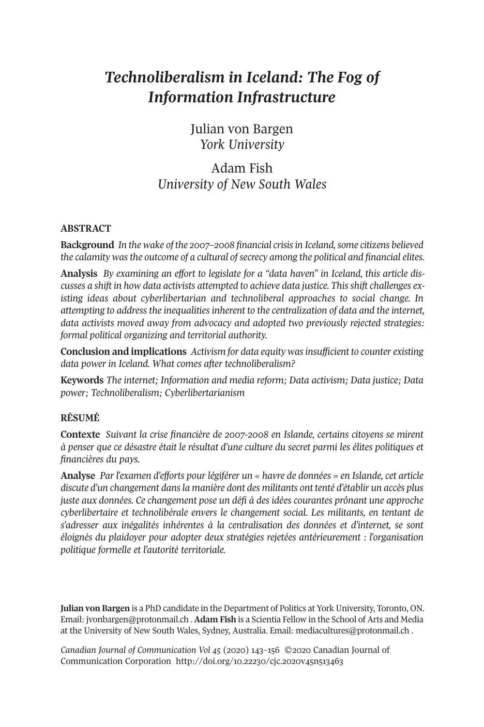# *Technoliberalism in Iceland: The Fog of Information Infrastructure*

Julian von Bargen *York University*

# Adam Fish *University of New South Wales*

# **ABSTRACT**

**Background** *In the wake of the 2007–2008 financial crisisin Iceland,some citizens believed the calamity wasthe outcome of a cultural ofsecrecy among the political and financial elites.*

**Analysis** *By examining an effort to legislate for a "data haven" in Iceland, this article discusses a shift in how data activists attempted to achieve data justice. Thisshift challenges existing ideas about cyberlibertarian and technoliberal approaches to social change. In attempting to address the inequalities inherent to the centralization of data and the internet, data activists moved away from advocacy and adopted two previously rejected strategies: formal political organizing and territorial authority.*

**Conclusion and implications** *Activism for data equity wasinsufficient to counter existing data power in Iceland. What comes after technoliberalism?*

**Keywords** *The internet; Information and media reform; Data activism; Data justice; Data power; Technoliberalism; Cyberlibertarianism*

# **RÉSUMÉ**

**Contexte** *Suivant la crise financière de 2007-2008 en Islande, certains citoyens se mirent à penser que ce désastre était le résultat d'une culture du secret parmi les élites politiques et financières du pays.*

**Analyse** *Par l'examen d'efforts pour légiférer un « havre de données » en Islande, cet article discute d'un changement dansla manière dont des militants ont tenté d'établir un accès plus juste aux données. Ce changement pose un défi à des idées courantes prônant une approche cyberlibertaire et technolibérale envers le changement social. Les militants, en tentant de s'adresser aux inégalités inhérentes à la centralisation des données et d'internet, se sont éloignés du plaidoyer pour adopter deux stratégies rejetées antérieurement : l'organisation politique formelle et l'autorité territoriale.*

**Julian von Bargen** is a PhD candidate in the Department of Politics at York University, Toronto, ON. Email: [jvonbargen@protonmail.ch](mailto:jvonbargen@protonmail.ch) . **Adam Fish** is a Scientia Fellow in the School of Arts and Media at the University of New South Wales, Sydney, Australia. Email: [mediacultures@protonmail.ch](mailto:mediacultures@protonmail.ch) .

*Canadian Journal of [Communication](http://www.cjc-online.ca) Vol 45* (2020) 421–428 ©2020 Canadian Journal of Communication Corporation http://doi.org/10.22230/cjc.2020v45n513463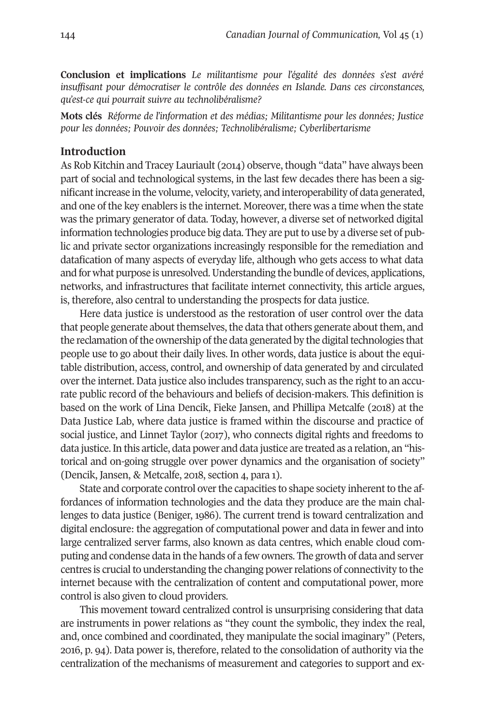**Conclusion et implications** *Le militantisme pour l'égalité des données s'est avéré insuffisant pour démocratiser le contrôle des données en Islande. Dans ces circonstances, qu'est-ce qui pourrait suivre au technolibéralisme?*

**Mots clés** *Réforme de l'information et des médias; Militantisme pour les données; Justice pour les données; Pouvoir des données; Technolibéralisme; Cyberlibertarisme*

#### **Introduction**

As Rob Kitchin and Tracey Lauriault (2042) observe, though "data" have always been part of social and technological systems, in the last few decades there has been a significantincrease in the volume, velocity, variety, and interoperability of data generated, and one of the key enablers is the internet. Moreover, there was a time when the state was the primary generator of data. Today, however, a diverse set of networked digital information technologies produce big data. They are putto use by a diverse set of public and private sector organizations increasingly responsible for the remediation and datafication of many aspects of everyday life, although who gets access to what data and for what purpose is unresolved.Understanding the bundle of devices, applications, networks, and infrastructures that facilitate internet connectivity, this article argues, is, therefore, also central to understanding the prospects for data justice.

Here data justice is understood as the restoration of user control over the data that people generate about themselves, the data that others generate about them, and the reclamation of the ownership of the data generated by the digital technologies that people use to go about their daily lives. In other words, data justice is about the equitable distribution, access, control, and ownership of data generated by and circulated over the internet. Data justice also includes transparency, such as the right to an accurate public record of the behaviours and beliefs of decision-makers. This definition is based on the work of Lina Dencik, Fieke Jansen, and Phillipa Metcalfe (2048) at the Data Justice Lab, where data justice is framed within the discourse and practice of social justice, and Linnet Taylor (2047), who connects digital rights and freedoms to data justice. In this article, data power and data justice are treated as a relation, an "historical and on-going struggle over power dynamics and the organisation of society" (Dencik, Jansen, & Metcalfe, 2018, section 4, para 1).

State and corporate control over the capacities to shape society inherent to the affordances of information technologies and the data they produce are the main challenges to data justice (Beniger, 4988). The current trend is toward centralization and digital enclosure: the aggregation of computational power and data in fewer and into large centralized server farms, also known as data centres, which enable cloud computing and condense data in the hands of a few owners. The growth of data and server centres is crucial to understanding the changing power relations of connectivity to the internet because with the centralization of content and computational power, more control is also given to cloud providers.

This movement toward centralized control is unsurprising considering that data are instruments in power relations as "they count the symbolic, they index the real, and, once combined and coordinated, they manipulate the social imaginary" (Peters, 2048, p. 92). Data power is, therefore, related to the consolidation of authority via the centralization of the mechanisms of measurement and categories to support and ex-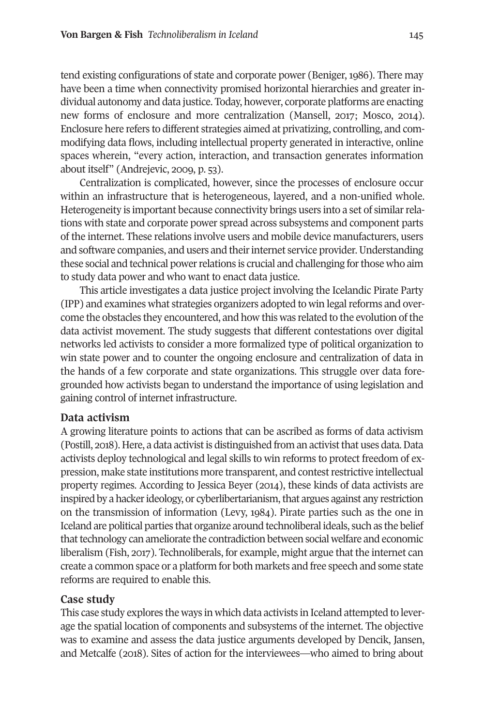tend existing configurations of state and corporate power (Beniger, 4988). There may have been a time when connectivity promised horizontal hierarchies and greater individual autonomy and data justice. Today, however, corporate platforms are enacting new forms of enclosure and more centralization (Mansell, 2047; Mosco, 2042). Enclosure here refers to different strategies aimed at privatizing, controlling, and commodifying data flows, including intellectual property generated in interactive, online spaces wherein, "every action, interaction, and transaction generates information about itself" (Andrejevic, 2009, p. 53).

Centralization is complicated, however, since the processes of enclosure occur within an infrastructure that is heterogeneous, layered, and a non-unified whole. Heterogeneity is important because connectivity brings users into a set of similarrelations with state and corporate power spread across subsystems and component parts of the internet. These relations involve users and mobile device manufacturers, users and software companies, and users and theirinternet service provider.Understanding these social and technical power relations is crucial and challenging for those who aim to study data power and who want to enact data justice.

This article investigates a data justice project involving the Icelandic Pirate Party (IPP) and examines what strategies organizers adopted to win legalreforms and overcome the obstacles they encountered, and how this was related to the evolution of the data activist movement. The study suggests that different contestations over digital networks led activists to consider a more formalized type of political organization to win state power and to counter the ongoing enclosure and centralization of data in the hands of a few corporate and state organizations. This struggle over data foregrounded how activists began to understand the importance of using legislation and gaining control of internet infrastructure.

#### **Data activism**

A growing literature points to actions that can be ascribed as forms of data activism (Postill, 2048). Here, a data activistis distinguished from an activistthat uses data.Data activists deploy technological and legal skills to win reforms to protect freedom of expression, make state institutions more transparent, and contestrestrictive intellectual property regimes. According to Jessica Beyer (2042), these kinds of data activists are inspired by a hacker ideology, or cyberlibertarianism, that argues against any restriction on the transmission of information (Levy, 4982). Pirate parties such as the one in Iceland are political parties that organize around technoliberal ideals, such as the belief that technology can ameliorate the contradiction between social welfare and economic liberalism (Fish, 2047). Technoliberals, for example, might argue that the internet can create a common space or a platform for both markets and free speech and some state reforms are required to enable this.

# **Case study**

This case study explores the ways in which data activists in Iceland attempted to leverage the spatial location of components and subsystems of the internet. The objective was to examine and assess the data justice arguments developed by Dencik, Jansen, and Metcalfe (2048). Sites of action for the interviewees—who aimed to bring about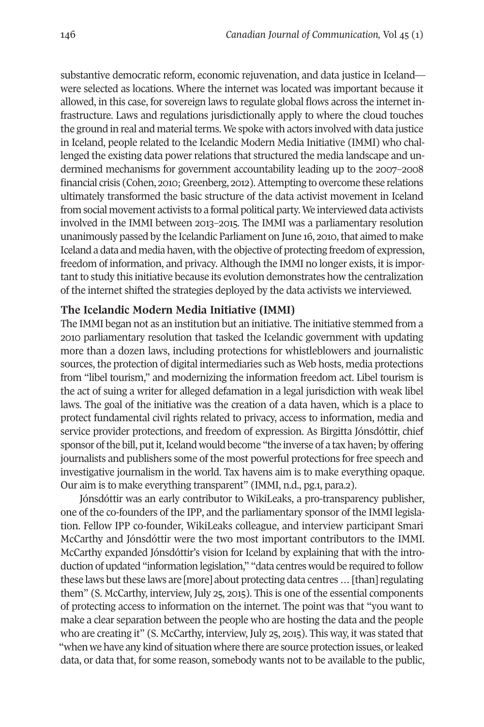substantive democratic reform, economic rejuvenation, and data justice in Iceland were selected as locations. Where the internet was located was important because it allowed, in this case, for sovereign laws to regulate global flows across the internet infrastructure. Laws and regulations jurisdictionally apply to where the cloud touches the ground in real and material terms. We spoke with actors involved with data justice in Iceland, people related to the Icelandic Modern Media Initiative (IMMI) who challenged the existing data power relations that structured the media landscape and undermined mechanisms for government accountability leading up to the 2007–2008 financial crisis (Cohen, 2010; Greenberg, 2012). Attempting to overcome these relations ultimately transformed the basic structure of the data activist movement in Iceland from social movement activists to a formal political party. We interviewed data activists involved in the IMMI between 2041–2042. The IMMI was a parliamentary resolution unanimously passed by the Icelandic Parliament on June 16, 2010, that aimed to make Iceland a data and media haven, with the objective of protecting freedom of expression, freedom of information, and privacy. Although the IMMI no longer exists, it is important to study this initiative because its evolution demonstrates how the centralization of the internet shifted the strategies deployed by the data activists we interviewed.

#### **The Icelandic Modern Media Initiative (IMMI)**

The IMMI began not as an institution but an initiative. The initiative stemmed from a 2040 parliamentary resolution that tasked the Icelandic government with updating more than a dozen laws, including protections for whistleblowers and journalistic sources, the protection of digital intermediaries such as Web hosts, media protections from "libel tourism," and modernizing the information freedom act. Libel tourism is the act of suing a writer for alleged defamation in a legal jurisdiction with weak libel laws. The goal of the initiative was the creation of a data haven, which is a place to protect fundamental civil rights related to privacy, access to information, media and service provider protections, and freedom of expression. As Birgitta Jónsdóttir, chief sponsor of the bill, put it, Iceland would become "the inverse of a tax haven; by offering journalists and publishers some of the most powerful protections for free speech and investigative journalism in the world. Tax havens aim is to make everything opaque. Our aim is to make everything transparent" (IMMI, n.d., pg.1, para.2).

Jónsdóttir was an early contributor to WikiLeaks, a pro-transparency publisher, one of the co-founders of the IPP, and the parliamentary sponsor of the IMMI legislation. Fellow IPP co-founder, WikiLeaks colleague, and interview participant Smari McCarthy and Jónsdóttir were the two most important contributors to the IMMI. McCarthy expanded Jónsdóttir's vision for Iceland by explaining that with the introduction of updated "information legislation," "data centres would be required to follow these laws but these laws are [more] about protecting data centres ... [than] regulating them" (S. McCarthy, interview, July 22, 2042). This is one of the essential components of protecting access to information on the internet. The point was that "you want to make a clear separation between the people who are hosting the data and the people who are creating it" (S. McCarthy, interview, July 25, 2015). This way, it was stated that "when we have any kind of situation where there are source protection issues, or leaked data, or data that, for some reason, somebody wants not to be available to the public,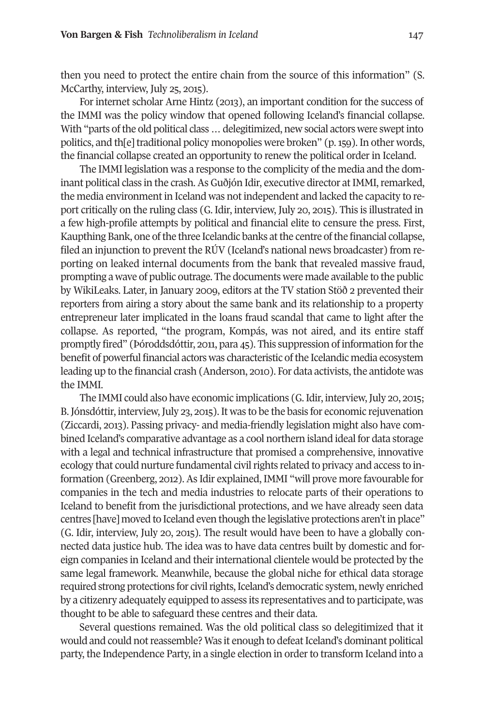then you need to protect the entire chain from the source of this information" (S. McCarthy, interview, July 25, 2015).

For internet scholar Arne Hintz (2041), an important condition for the success of the IMMI was the policy window that opened following Iceland's financial collapse. With "parts of the old political class ... delegitimized, new social actors were swept into politics, and th[e] traditional policy monopolies were broken" (p. 159). In other words, the financial collapse created an opportunity to renew the political order in Iceland.

The IMMI legislation was a response to the complicity of the media and the dominant political class in the crash. As Guðjón Idir, executive director at IMMI, remarked, the media environment in Iceland was not independent and lacked the capacity to report critically on the ruling class (G. Idir, interview, July 20, 2042). This is illustrated in a few high-profile attempts by political and financial elite to censure the press. First, Kaupthing Bank, one of the three Icelandic banks at the centre of the financial collapse, filed an injunction to prevent the RÚV (Iceland's national news broadcaster) from reporting on leaked internal documents from the bank that revealed massive fraud, prompting a wave of public outrage. The documents were made available to the public by WikiLeaks. Later, in January 2009, editors at the TV station Stöð 2 prevented their reporters from airing a story about the same bank and its relationship to a property entrepreneur later implicated in the loans fraud scandal that came to light after the collapse. As reported, "the program, Kompás, was not aired, and its entire staff promptly fired" (Þóroddsdóttir, 2044, para 22). This suppression of information forthe benefit of powerful financial actors was characteristic of the Icelandic media ecosystem leading up to the financial crash (Anderson, 2010). For data activists, the antidote was the IMMI.

The IMMI could also have economic implications (G. Idir, interview, July 20, 2015; B. Jónsdóttir, interview, July 23, 2015). It was to be the basis for economic rejuvenation (Ziccardi, 2041). Passing privacy- and media-friendly legislation might also have combined Iceland's comparative advantage as a cool northern island ideal for data storage with a legal and technical infrastructure that promised a comprehensive, innovative ecology that could nurture fundamental civil rights related to privacy and access to information (Greenberg, 2042). As Idir explained, IMMI "will prove more favourable for companies in the tech and media industries to relocate parts of their operations to Iceland to benefit from the jurisdictional protections, and we have already seen data centres [have] moved to Iceland even though the legislative protections aren'tin place" (G. Idir, interview, July 20, 2042). The result would have been to have a globally connected data justice hub. The idea was to have data centres built by domestic and foreign companies in Iceland and their international clientele would be protected by the same legal framework. Meanwhile, because the global niche for ethical data storage required strong protections for civil rights, Iceland's democratic system, newly enriched by a citizenry adequately equipped to assess its representatives and to participate, was thought to be able to safeguard these centres and their data.

Several questions remained. Was the old political class so delegitimized that it would and could not reassemble? Was it enough to defeat Iceland's dominant political party, the Independence Party, in a single election in order to transform Iceland into a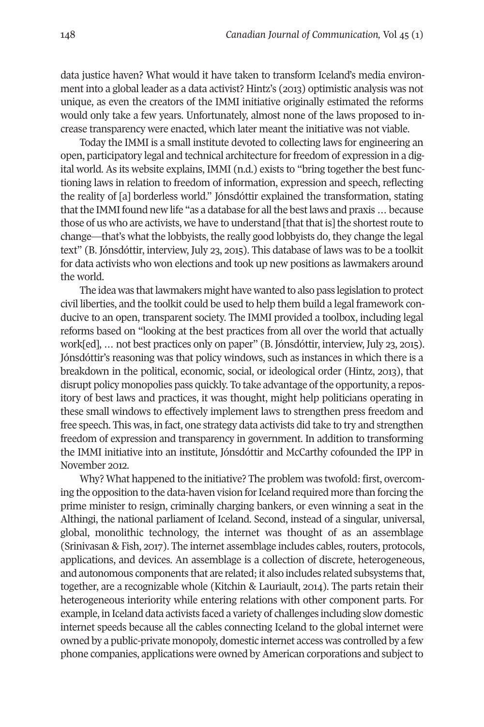data justice haven? What would it have taken to transform Iceland's media environment into a global leader as a data activist? Hintz's (2041) optimistic analysis was not unique, as even the creators of the IMMI initiative originally estimated the reforms would only take a few years. Unfortunately, almost none of the laws proposed to increase transparency were enacted, which later meant the initiative was not viable.

Today the IMMI is a small institute devoted to collecting laws for engineering an open, participatory legal and technical architecture forfreedom of expression in a digital world. As its website explains, IMMI (n.d.) exists to "bring together the best functioning laws in relation to freedom of information, expression and speech, reflecting the reality of [a] borderless world." Jónsdóttir explained the transformation, stating that the IMMI found new life "as a database for all the best laws and praxis ... because those of us who are activists, we have to understand [that that is] the shortest route to change—that's what the lobbyists, the really good lobbyists do, they change the legal text" (B. Jónsdóttir, interview, July 23, 2015). This database of laws was to be a toolkit for data activists who won elections and took up new positions as lawmakers around the world.

The idea was that lawmakers might have wanted to also pass legislation to protect civil liberties, and the toolkit could be used to help them build a legal framework conducive to an open, transparent society. The IMMI provided a toolbox, including legal reforms based on "looking at the best practices from all over the world that actually work[ed], ... not best practices only on paper" (B. Jónsdóttir, interview, July 23, 2015). Jónsdóttir's reasoning was that policy windows, such as instances in which there is a breakdown in the political, economic, social, or ideological order (Hintz, 2041), that disrupt policy monopolies pass quickly. To take advantage of the opportunity, a repository of best laws and practices, it was thought, might help politicians operating in these small windows to effectively implement laws to strengthen press freedom and free speech. This was, in fact, one strategy data activists did take to try and strengthen freedom of expression and transparency in government. In addition to transforming the IMMI initiative into an institute, Jónsdóttir and McCarthy cofounded the IPP in November 2012.

Why? What happened to the initiative? The problem was twofold: first, overcoming the opposition to the data-haven vision for Iceland required more than forcing the prime minister to resign, criminally charging bankers, or even winning a seat in the Althingi, the national parliament of Iceland. Second, instead of a singular, universal, global, monolithic technology, the internet was thought of as an assemblage (Srinivasan & Fish, 2017). The internet assemblage includes cables, routers, protocols, applications, and devices. An assemblage is a collection of discrete, heterogeneous, and autonomous components that are related; it also includes related subsystems that, together, are a recognizable whole (Kitchin & Lauriault, 2042). The parts retain their heterogeneous interiority while entering relations with other component parts. For example, in Iceland data activists faced a variety of challenges including slow domestic internet speeds because all the cables connecting Iceland to the global internet were owned by a public-private monopoly, domestic internet access was controlled by a few phone companies, applications were owned by American corporations and subject to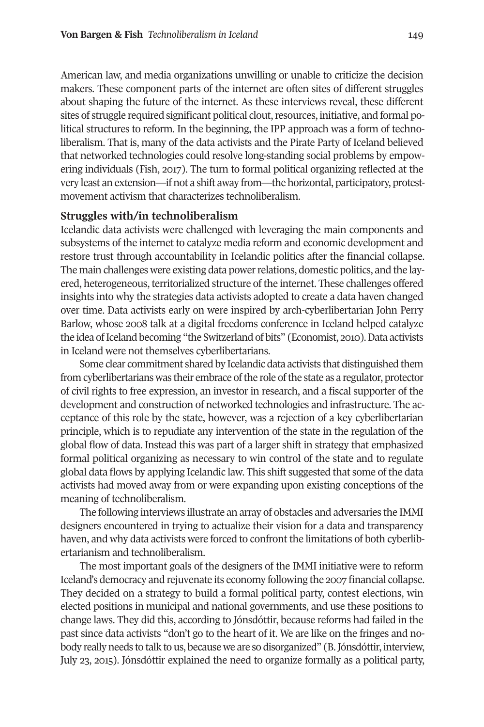American law, and media organizations unwilling or unable to criticize the decision makers. These component parts of the internet are often sites of different struggles about shaping the future of the internet. As these interviews reveal, these different sites of struggle required significant political clout, resources, initiative, and formal political structures to reform. In the beginning, the IPP approach was a form of technoliberalism. That is, many of the data activists and the Pirate Party of Iceland believed that networked technologies could resolve long-standing social problems by empowering individuals (Fish, 2047). The turn to formal political organizing reflected at the very least an extension—if not a shift away from—the horizontal, participatory, protestmovement activism that characterizes technoliberalism.

#### **Struggles with/in technoliberalism**

Icelandic data activists were challenged with leveraging the main components and subsystems of the internet to catalyze media reform and economic development and restore trust through accountability in Icelandic politics after the financial collapse. The main challenges were existing data power relations, domestic politics, and the layered, heterogeneous, territorialized structure of the internet. These challenges offered insights into why the strategies data activists adopted to create a data haven changed over time. Data activists early on were inspired by arch-cyberlibertarian John Perry Barlow, whose 2008 talk at a digital freedoms conference in Iceland helped catalyze the idea of Iceland becoming "the Switzerland of bits" (Economist, 2010). Data activists in Iceland were not themselves cyberlibertarians.

Some clear commitment shared by Icelandic data activists that distinguished them from cyberlibertarians was their embrace of the role of the state as a regulator, protector of civil rights to free expression, an investor in research, and a fiscal supporter of the development and construction of networked technologies and infrastructure. The acceptance of this role by the state, however, was a rejection of a key cyberlibertarian principle, which is to repudiate any intervention of the state in the regulation of the global flow of data. Instead this was part of a larger shift in strategy that emphasized formal political organizing as necessary to win control of the state and to regulate global data flows by applying Icelandic law. This shift suggested that some of the data activists had moved away from or were expanding upon existing conceptions of the meaning of technoliberalism.

The following interviews illustrate an array of obstacles and adversaries the IMMI designers encountered in trying to actualize their vision for a data and transparency haven, and why data activists were forced to confront the limitations of both cyberlibertarianism and technoliberalism.

The most important goals of the designers of the IMMI initiative were to reform Iceland's democracy and rejuvenate its economy following the 2007 financial collapse. They decided on a strategy to build a formal political party, contest elections, win elected positions in municipal and national governments, and use these positions to change laws. They did this, according to Jónsdóttir, because reforms had failed in the past since data activists "don't go to the heart of it. We are like on the fringes and nobody really needs to talk to us, because we are so disorganized" (B.Jónsdóttir, interview, July 21, 2042). Jónsdóttir explained the need to organize formally as a political party,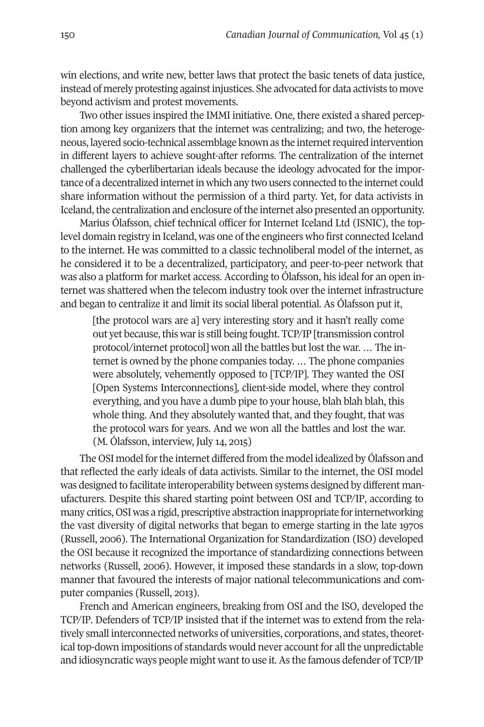win elections, and write new, better laws that protect the basic tenets of data justice, instead of merely protesting againstinjustices. She advocated for data activists to move beyond activism and protest movements.

Two other issues inspired the IMMI initiative. One, there existed a shared perception among key organizers that the internet was centralizing; and two, the heterogeneous, layered socio-technical assemblage known as the internetrequired intervention in different layers to achieve sought-after reforms. The centralization of the internet challenged the cyberlibertarian ideals because the ideology advocated for the importance of a decentralized internet in which any two users connected to the internet could share information without the permission of a third party. Yet, for data activists in Iceland, the centralization and enclosure of the internet also presented an opportunity.

Marius Ólafsson, chief technical officer for Internet Iceland Ltd (ISNIC), the toplevel domain registry in Iceland, was one of the engineers who first connected Iceland to the internet. He was committed to a classic technoliberal model of the internet, as he considered it to be a decentralized, participatory, and peer-to-peer network that was also a platform for market access. According to Ólafsson, his ideal for an open internet was shattered when the telecom industry took over the internet infrastructure and began to centralize it and limit its social liberal potential. As Ólafsson put it,

[the protocol wars are a] very interesting story and it hasn't really come out yet because, this war is still being fought. TCP/IP [transmission control protocol/internet protocol] won all the battles but lost the war. … The internet is owned by the phone companies today. … The phone companies were absolutely, vehemently opposed to [TCP/IP]. They wanted the OSI [Open Systems Interconnections], client-side model, where they control everything, and you have a dumb pipe to your house, blah blah blah, this whole thing. And they absolutely wanted that, and they fought, that was the protocol wars for years. And we won all the battles and lost the war.  $(M. O$ lafsson, interview, July 14, 2015)

The OSI model for the internet differed from the model idealized by Ólafsson and that reflected the early ideals of data activists. Similar to the internet, the OSI model was designed to facilitate interoperability between systems designed by different manufacturers. Despite this shared starting point between OSI and TCP/IP, according to many critics, OSI was a rigid, prescriptive abstraction inappropriate forinternetworking the vast diversity of digital networks that began to emerge starting in the late 4970s (Russell, 2008). The International Organization for Standardization (ISO) developed the OSI because it recognized the importance of standardizing connections between networks (Russell, 2008). However, it imposed these standards in a slow, top-down manner that favoured the interests of major national telecommunications and computer companies (Russell, 2041).

French and American engineers, breaking from OSI and the ISO, developed the TCP/IP. Defenders of TCP/IP insisted that if the internet was to extend from the relatively small interconnected networks of universities, corporations, and states, theoretical top-down impositions of standards would never account for all the unpredictable and idiosyncratic ways people might wantto use it.As the famous defender of TCP/IP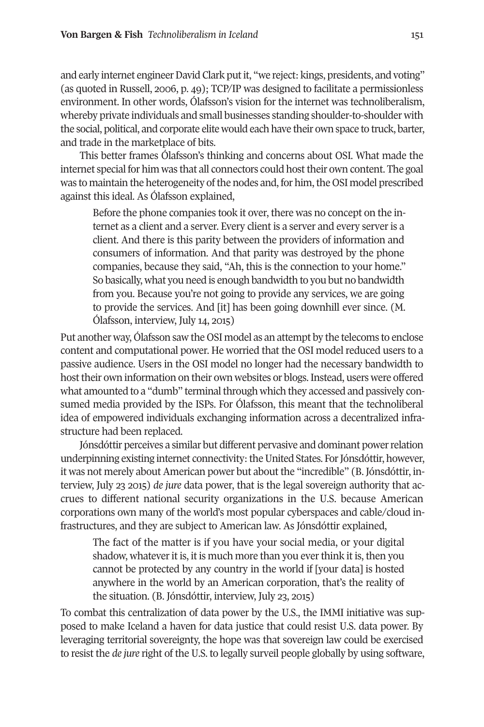and early internet engineer David Clark put it, "we reject: kings, presidents, and voting" (as quoted in Russell, 2008, p. 29); TCP/IP was designed to facilitate a permissionless environment. In other words, Ólafsson's vision for the internet was technoliberalism, whereby private individuals and small businesses standing shoulder-to-shoulder with the social, political, and corporate elite would each have their own space to truck, barter, and trade in the marketplace of bits.

This better frames Ólafsson's thinking and concerns about OSI. What made the internet special for him was that all connectors could hosttheir own content. The goal was to maintain the heterogeneity of the nodes and, for him, the OSI model prescribed against this ideal. As Ólafsson explained,

Before the phone companies took it over, there was no concept on the internet as a client and a server. Every client is a server and every server is a client. And there is this parity between the providers of information and consumers of information. And that parity was destroyed by the phone companies, because they said, "Ah, this is the connection to your home." So basically, what you need is enough bandwidth to you but no bandwidth from you. Because you're not going to provide any services, we are going to provide the services. And [it] has been going downhill ever since. (M. Ólafsson, interview, July 14, 2015)

Put another way, Ólafsson saw the OSI model as an attempt by the telecoms to enclose content and computational power. He worried that the OSI model reduced users to a passive audience. Users in the OSI model no longer had the necessary bandwidth to host their own information on their own websites or blogs. Instead, users were offered what amounted to a "dumb" terminal through which they accessed and passively consumed media provided by the ISPs. For Ólafsson, this meant that the technoliberal idea of empowered individuals exchanging information across a decentralized infrastructure had been replaced.

Jónsdóttir perceives a similar but different pervasive and dominant powerrelation underpinning existing internet connectivity: the United States. For Jónsdóttir, however, it was not merely about American power but about the "incredible" (B. Jónsdóttir, interview, July 23 2015) *de jure* data power, that is the legal sovereign authority that accrues to different national security organizations in the U.S. because American corporations own many of the world's most popular cyberspaces and cable/cloud infrastructures, and they are subject to American law. As Jónsdóttir explained,

The fact of the matter is if you have your social media, or your digital shadow, whatever it is, it is much more than you ever think it is, then you cannot be protected by any country in the world if [your data] is hosted anywhere in the world by an American corporation, that's the reality of the situation. (B. Jónsdóttir, interview, July 23, 2015)

To combat this centralization of data power by the U.S., the IMMI initiative was supposed to make Iceland a haven for data justice that could resist U.S. data power. By leveraging territorial sovereignty, the hope was that sovereign law could be exercised to resist the *de jure* right of the U.S. to legally surveil people globally by using software,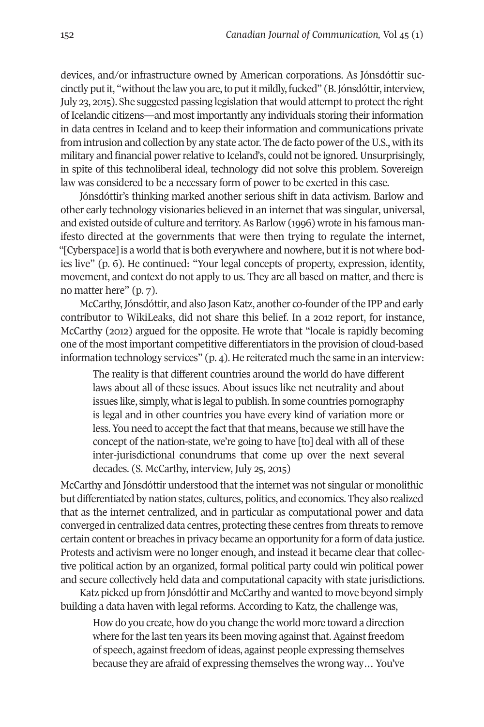devices, and/or infrastructure owned by American corporations. As Jónsdóttir succinctly put it, "without the law you are, to put it mildly, fucked" (B. Jónsdóttir, interview, July 23, 2015). She suggested passing legislation that would attempt to protect the right of Icelandic citizens—and most importantly any individuals storing their information in data centres in Iceland and to keep their information and communications private from intrusion and collection by any state actor. The de facto power of the U.S., with its military and financial power relative to Iceland's, could not be ignored. Unsurprisingly, in spite of this technoliberal ideal, technology did not solve this problem. Sovereign law was considered to be a necessary form of power to be exerted in this case.

Jónsdóttir's thinking marked another serious shift in data activism. Barlow and other early technology visionaries believed in an internet that was singular, universal, and existed outside of culture and territory.As Barlow (4998) wrote in his famous manifesto directed at the governments that were then trying to regulate the internet, "[Cyberspace] is a world that is both everywhere and nowhere, but it is not where bodies live" (p. 8). He continued: "Your legal concepts of property, expression, identity, movement, and context do not apply to us. They are all based on matter, and there is no matter here" (p. 7).

McCarthy, Jónsdóttir, and also Jason Katz, another co-founder of the IPP and early contributor to WikiLeaks, did not share this belief. In a 2042 report, for instance, McCarthy (2042) argued for the opposite. He wrote that "locale is rapidly becoming one of the most important competitive differentiators in the provision of cloud-based information technology services"  $(p, 4)$ . He reiterated much the same in an interview:

The reality is that different countries around the world do have different laws about all of these issues. About issues like net neutrality and about issues like, simply, what is legal to publish. In some countries pornography is legal and in other countries you have every kind of variation more or less. You need to accept the fact that that means, because we still have the concept of the nation-state, we're going to have [to] deal with all of these inter-jurisdictional conundrums that come up over the next several decades. (S. McCarthy, interview, July 25, 2015)

McCarthy and Jónsdóttir understood that the internet was not singular or monolithic but differentiated by nation states, cultures, politics, and economics. They also realized that as the internet centralized, and in particular as computational power and data converged in centralized data centres, protecting these centres from threats to remove certain content or breaches in privacy became an opportunity for a form of data justice. Protests and activism were no longer enough, and instead it became clear that collective political action by an organized, formal political party could win political power and secure collectively held data and computational capacity with state jurisdictions.

Katz picked up from Jónsdóttir and McCarthy and wanted to move beyond simply building a data haven with legal reforms. According to Katz, the challenge was,

How do you create, how do you change the world more toward a direction where for the last ten years its been moving against that. Against freedom of speech, against freedom of ideas, against people expressing themselves because they are afraid of expressing themselves the wrong way… You've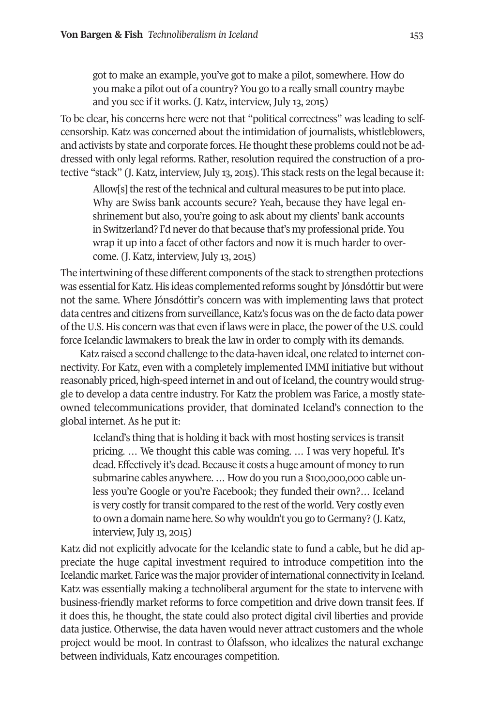got to make an example, you've got to make a pilot, somewhere. How do you make a pilot out of a country? You go to a really small country maybe and you see if it works. (J. Katz, interview, July 13, 2015)

To be clear, his concerns here were not that "political correctness" was leading to selfcensorship. Katz was concerned about the intimidation of journalists, whistleblowers, and activists by state and corporate forces. He thought these problems could not be addressed with only legal reforms. Rather, resolution required the construction of a protective "stack" (J. Katz, interview, July 41, 2042). This stack rests on the legal because it:

Allow[s] the rest of the technical and cultural measures to be put into place. Why are Swiss bank accounts secure? Yeah, because they have legal enshrinement but also, you're going to ask about my clients' bank accounts in Switzerland? I'd never do that because that's my professional pride. You wrap it up into a facet of other factors and now it is much harder to overcome. (J. Katz, interview, July 13, 2015)

The intertwining of these different components of the stack to strengthen protections was essential forKatz. His ideas complemented reforms sought by Jónsdóttir but were not the same. Where Jónsdóttir's concern was with implementing laws that protect data centres and citizens from surveillance,Katz's focus was on the de facto data power of the U.S. His concern was that even if laws were in place, the power of the U.S. could force Icelandic lawmakers to break the law in order to comply with its demands.

Katz raised a second challenge to the data-haven ideal, one related to internet connectivity. For Katz, even with a completely implemented IMMI initiative but without reasonably priced, high-speed internet in and out of Iceland, the country would struggle to develop a data centre industry. For Katz the problem was Farice, a mostly stateowned telecommunications provider, that dominated Iceland's connection to the global internet. As he put it:

Iceland's thing that is holding it back with most hosting services is transit pricing. … We thought this cable was coming. … I was very hopeful. It's dead. Effectively it's dead. Because it costs a huge amount of money to run submarine cables anywhere. ... How do you run a \$100,000,000 cable unless you're Google or you're Facebook; they funded their own?… Iceland is very costly for transit compared to the rest of the world. Very costly even to own a domain name here. So why wouldn't you go to Germany? (J. Katz, interview, July 13, 2015)

Katz did not explicitly advocate for the Icelandic state to fund a cable, but he did appreciate the huge capital investment required to introduce competition into the Icelandic market. Farice was the major provider ofinternational connectivity in Iceland. Katz was essentially making a technoliberal argument for the state to intervene with business-friendly market reforms to force competition and drive down transit fees. If it does this, he thought, the state could also protect digital civil liberties and provide data justice. Otherwise, the data haven would never attract customers and the whole project would be moot. In contrast to Ólafsson, who idealizes the natural exchange between individuals, Katz encourages competition.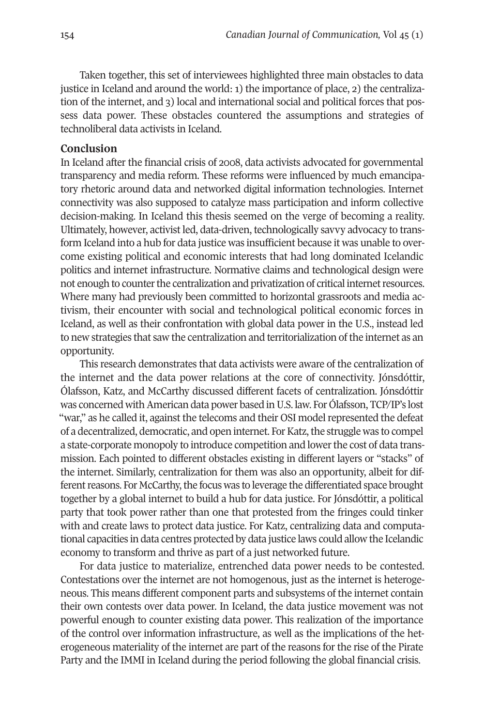Taken together, this set of interviewees highlighted three main obstacles to data justice in Iceland and around the world: 4) the importance of place, 2) the centralization of the internet, and 3) local and international social and political forces that possess data power. These obstacles countered the assumptions and strategies of technoliberal data activists in Iceland.

#### **Conclusion**

In Iceland after the financial crisis of 2008, data activists advocated for governmental transparency and media reform. These reforms were influenced by much emancipatory rhetoric around data and networked digital information technologies. Internet connectivity was also supposed to catalyze mass participation and inform collective decision-making. In Iceland this thesis seemed on the verge of becoming a reality. Ultimately, however, activist led, data-driven, technologically savvy advocacy to transform Iceland into a hub for data justice was insufficient because it was unable to overcome existing political and economic interests that had long dominated Icelandic politics and internet infrastructure. Normative claims and technological design were not enough to counter the centralization and privatization of critical internet resources. Where many had previously been committed to horizontal grassroots and media activism, their encounter with social and technological political economic forces in Iceland, as well as their confrontation with global data power in the U.S., instead led to new strategies that saw the centralization and territorialization ofthe internet as an opportunity.

This research demonstrates that data activists were aware of the centralization of the internet and the data power relations at the core of connectivity. Jónsdóttir, Ólafsson, Katz, and McCarthy discussed different facets of centralization. Jónsdóttir was concerned with American data power based in U.S. law. For Ólafsson, TCP/IP's lost "war," as he called it, against the telecoms and their OSI model represented the defeat of a decentralized, democratic, and open internet. For Katz, the struggle was to compel a state-corporate monopoly to introduce competition and lowerthe cost of data transmission. Each pointed to different obstacles existing in different layers or "stacks" of the internet. Similarly, centralization for them was also an opportunity, albeit for different reasons. For McCarthy, the focus was to leverage the differentiated space brought together by a global internet to build a hub for data justice. For Jónsdóttir, a political party that took power rather than one that protested from the fringes could tinker with and create laws to protect data justice. For Katz, centralizing data and computational capacities in data centres protected by data justice laws could allow the Icelandic economy to transform and thrive as part of a just networked future.

For data justice to materialize, entrenched data power needs to be contested. Contestations over the internet are not homogenous, just as the internet is heterogeneous. This means different component parts and subsystems of the internet contain their own contests over data power. In Iceland, the data justice movement was not powerful enough to counter existing data power. This realization of the importance of the control over information infrastructure, as well as the implications of the heterogeneous materiality of the internet are part of the reasons for the rise of the Pirate Party and the IMMI in Iceland during the period following the global financial crisis.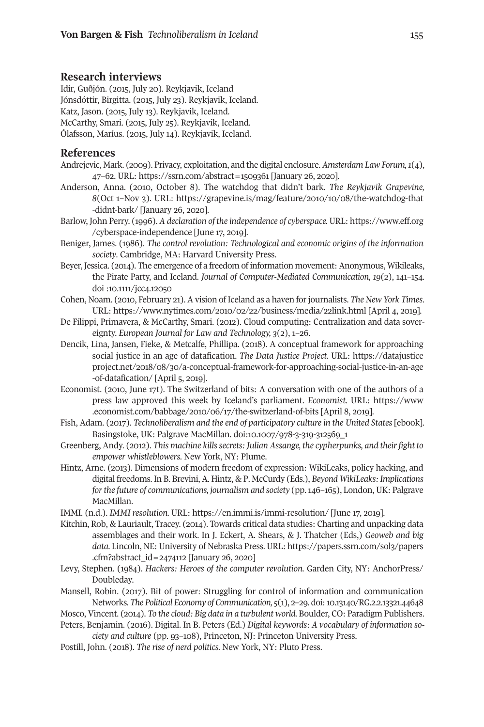#### **Research interviews**

Idir, Guðjón. (2042, July 20). Reykjavik, Iceland Jónsdóttir, Birgitta. (2015, July 23). Reykjavik, Iceland. Katz, Jason. (2015, July 13). Reykjavik, Iceland. McCarthy, Smari. (2042, July 22). Reykjavik, Iceland. Ólafsson, Maríus. (2042, July 42). Reykjavik, Iceland.

#### **References**

- Andrejevic, Mark. (2009). Privacy, exploitation, and the digital enclosure. *Amsterdam Law Forum,1*(2), 27–82. URL: [https://ssrn.com/abstract=4209184](https://ssrn.com/abstract=1509361) [January 28, 2020].
- Anderson, Anna. (2040, October 8). The watchdog that didn't bark. *The Reykjavik Grapevine,* 8(Oct 1-Nov 3). URL: https://grapevine.is/mag/feature/2010/10/08/the-watchdog-that [-didnt-bark/](https://grapevine.is/mag/feature/2010/10/08/the-watchdog-that-didnt-bark/) [January 28, 2020].
- Barlow, John Perry. (4998). *A declaration of the independence of cyberspace.* URL: [https://www.eff.org](https://www.eff.org/cyberspace-independence) [/cyberspace-independence](https://www.eff.org/cyberspace-independence) [June 47, 2049].
- Beniger, James. (4988). *The control revolution: Technological and economic origins of the information society*. Cambridge, MA: Harvard University Press.
- Beyer, Jessica. (2014). The emergence of a freedom of information movement: Anonymous, Wikileaks, the Pirate Party, and Iceland. *Journal of Computer-Mediated Communication, 19*(2), 424–422. doi [:40.4444/jcc2.42020](http://doi.org/10.1111/jcc4.12050)
- Cohen, Noam. (2040, February 24). A vision of Iceland as a haven forjournalists. *The New York Times*. URL: [https://www.nytimes.com/2040/02/22/business/media/22link.html](https://www.nytimes.com/2010/02/22/business/media/22link.html) [April 2, 2049].
- De Filippi, Primavera, & McCarthy, Smari. (2042). Cloud computing: Centralization and data sovereignty. *European Journal for Law and Technology, 3*(2), 4–28.
- Dencik, Lina, Jansen, Fieke, & Metcalfe, Phillipa. (2048). A conceptual framework for approaching social justice in an age of datafication. *The Data Justice Project.* URL: [https://datajustice](https://datajusticeproject.net/2018/08/30/a-conceptual-framework-for-approaching-social-justice-in-an-age-of-datafication/) [project.net/2048/08/10/a-conceptual-framework-for-approaching-social-justice-in-an-age](https://datajusticeproject.net/2018/08/30/a-conceptual-framework-for-approaching-social-justice-in-an-age-of-datafication/) [-of-datafication/](https://datajusticeproject.net/2018/08/30/a-conceptual-framework-for-approaching-social-justice-in-an-age-of-datafication/) [April 5, 2019].
- Economist. (2010, June 17t). The Switzerland of bits: A conversation with one of the authors of a press law approved this week by Iceland's parliament. *Economist.* URL: [https://www](https://www.economist.com/babbage/2010/06/17/the-switzerland-of-bits) [.economist.com/babbage/2040/08/47/the-switzerland-of-bits](https://www.economist.com/babbage/2010/06/17/the-switzerland-of-bits) [April 8, 2049].
- Fish, Adam. (2047). *Technoliberalism and the end of participatory culture in the United States* [ebook]. Basingstoke, UK: Palgrave MacMillan. doi:10.1007/978-3-319-312569\_1
- Greenberg, Andy. (2042). *This machine killssecrets: Julian Assange, the cypherpunks, and theirfight to empower whistleblowers.* New York, NY: Plume.
- Hintz, Arne. (2041). Dimensions of modern freedom of expression: WikiLeaks, policy hacking, and digital freedoms. In B. Brevini, A. Hintz, & P. McCurdy (Eds.), *Beyond WikiLeaks: Implications forthe future of communications, journalism and society* (pp.428–482), London, UK: Palgrave MacMillan.
- IMMI. (n.d.). *IMMI resolution.* URL: <https://en.immi.is/immi-resolution/> [June 47, 2049].
- Kitchin, Rob, & Lauriault, Tracey. (2042). Towards critical data studies: Charting and unpacking data assemblages and their work. In J. Eckert, A. Shears, & J. Thatcher (Eds,) *Geoweb and big* data. Lincoln, NE: University of Nebraska Press. URL: https://papers.ssrn.com/sol3/papers [.cfm?abstract\\_id=2272442](https://papers.ssrn.com/sol3/papers.cfm?abstract_id=2474112) [January 28, 2020]
- Levy, Stephen. (4982). *Hackers: Heroes of the computer revolution.* Garden City, NY: AnchorPress/ Doubleday.
- Mansell, Robin. (2047). Bit of power: Struggling for control of information and communication Networks. The Political Economy of Communication,  $5(1)$ , 2-29. doi: 10.13140/RG.2.2.13321.44648
- Mosco, Vincent. (2042). *To the cloud: Big data in a turbulent world.* Boulder, CO: Paradigm Publishers. Peters, Benjamin. (2048). Digital. In B. Peters (Ed.) *Digital keywords: A vocabulary of information so-*

*ciety* and *culture* (pp. 93-108), Princeton, NJ: Princeton University Press.

Postill, John. (2048). *The rise of nerd politics.* New York, NY: Pluto Press.